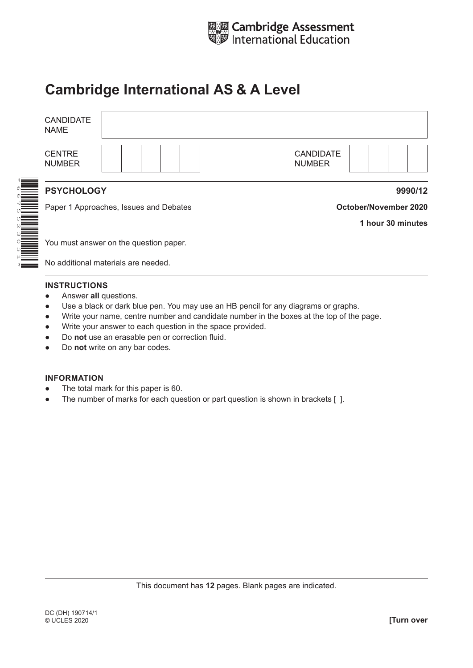

# **Cambridge International AS & A Level**

| <b>CANDIDATE</b><br><b>NAME</b>        |  |                                   |  |
|----------------------------------------|--|-----------------------------------|--|
| <b>CENTRE</b><br><b>NUMBER</b>         |  | <b>CANDIDATE</b><br><b>NUMBER</b> |  |
| <b>PSYCHOLOGY</b>                      |  | 9990/12                           |  |
| Paper 1 Approaches, Issues and Debates |  | October/November 2020             |  |
|                                        |  | 1 hour 30 minutes                 |  |
| You must answer on the question paper. |  |                                   |  |
| No additional materials are needed.    |  |                                   |  |

#### **INSTRUCTIONS**

- **•** Answer all questions.
- Use a black or dark blue pen. You may use an HB pencil for any diagrams or graphs.
- Write your name, centre number and candidate number in the boxes at the top of the page.
- Write your answer to each question in the space provided.
- Do **not** use an erasable pen or correction fluid.
- Do **not** write on any bar codes.

#### **INFORMATION**

- The total mark for this paper is 60.
- The number of marks for each question or part question is shown in brackets [ ].

This document has **12** pages. Blank pages are indicated.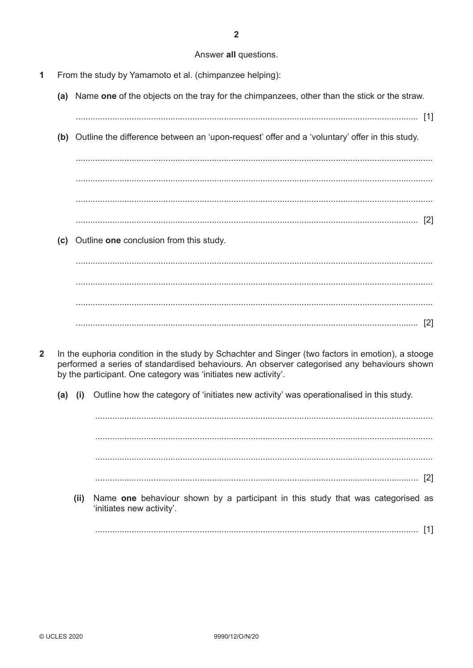Answer all questions.

- 1 From the study by Yamamoto et al. (chimpanzee helping):
	- (a) Name one of the objects on the tray for the chimpanzees, other than the stick or the straw.

(b) Outline the difference between an 'upon-request' offer and a 'voluntary' offer in this study.

- 
- (c) Outline one conclusion from this study.

- $\overline{2}$ In the euphoria condition in the study by Schachter and Singer (two factors in emotion), a stooge performed a series of standardised behaviours. An observer categorised any behaviours shown by the participant. One category was 'initiates new activity'.
	- (a) (i) Outline how the category of 'initiates new activity' was operationalised in this study.

 $(ii)$ Name one behaviour shown by a participant in this study that was categorised as 'initiates new activity'.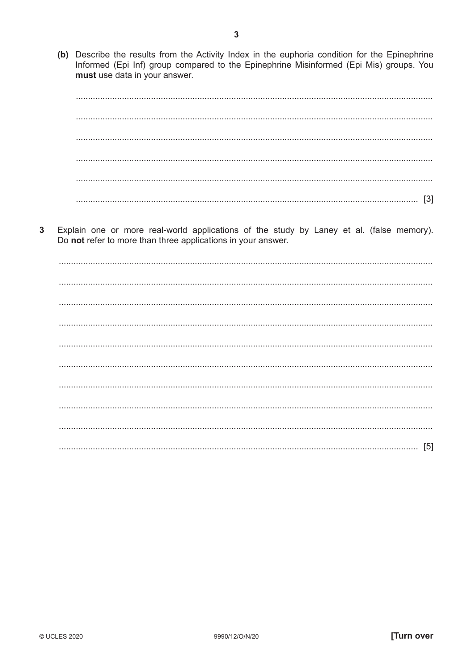(b) Describe the results from the Activity Index in the euphoria condition for the Epinephrine Informed (Epi Inf) group compared to the Epinephrine Misinformed (Epi Mis) groups. You must use data in your answer.

 $\mathbf{3}$ Explain one or more real-world applications of the study by Laney et al. (false memory). Do not refer to more than three applications in your answer.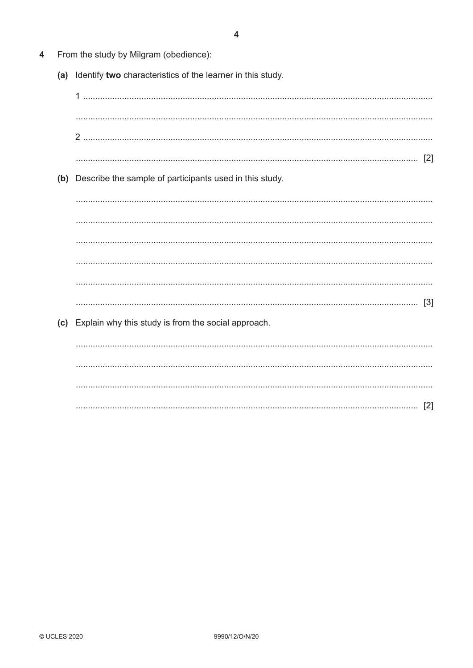| From the study by Milgram (obedience): |                                                            |  |  |  |
|----------------------------------------|------------------------------------------------------------|--|--|--|
| (a)                                    | Identify two characteristics of the learner in this study. |  |  |  |
|                                        |                                                            |  |  |  |
|                                        |                                                            |  |  |  |
|                                        |                                                            |  |  |  |
|                                        | $[2]$                                                      |  |  |  |
| (b)                                    | Describe the sample of participants used in this study.    |  |  |  |
|                                        |                                                            |  |  |  |
|                                        |                                                            |  |  |  |
|                                        |                                                            |  |  |  |
|                                        |                                                            |  |  |  |
|                                        |                                                            |  |  |  |
|                                        | $[3]$                                                      |  |  |  |
| (c)                                    | Explain why this study is from the social approach.        |  |  |  |
|                                        |                                                            |  |  |  |
|                                        |                                                            |  |  |  |
|                                        |                                                            |  |  |  |
|                                        |                                                            |  |  |  |

 $\overline{\mathbf{4}}$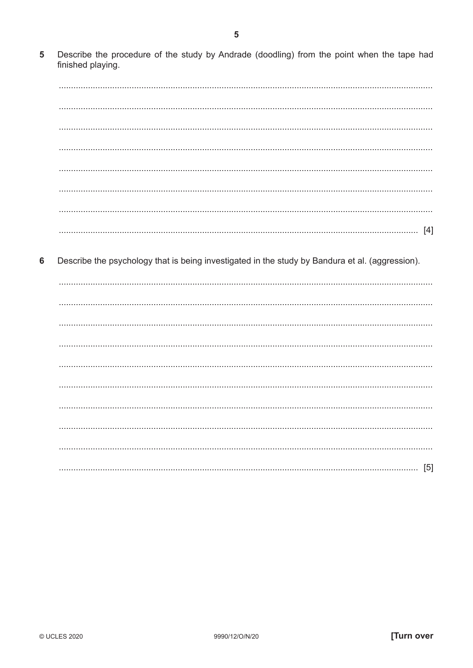5 Describe the procedure of the study by Andrade (doodling) from the point when the tape had finished playing.  $6\phantom{1}6$ Describe the psychology that is being investigated in the study by Bandura et al. (aggression).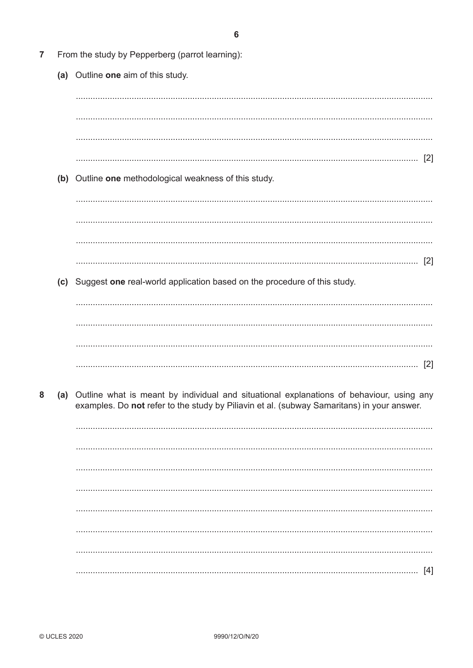| $\overline{\mathbf{r}}$ | From the study by Pepperberg (parrot learning):                                                                                                                                            |  |  |  |  |
|-------------------------|--------------------------------------------------------------------------------------------------------------------------------------------------------------------------------------------|--|--|--|--|
|                         | (a) Outline one aim of this study.                                                                                                                                                         |  |  |  |  |
|                         |                                                                                                                                                                                            |  |  |  |  |
|                         |                                                                                                                                                                                            |  |  |  |  |
|                         |                                                                                                                                                                                            |  |  |  |  |
|                         |                                                                                                                                                                                            |  |  |  |  |
|                         | (b) Outline one methodological weakness of this study.                                                                                                                                     |  |  |  |  |
|                         |                                                                                                                                                                                            |  |  |  |  |
|                         |                                                                                                                                                                                            |  |  |  |  |
|                         |                                                                                                                                                                                            |  |  |  |  |
|                         | [2]                                                                                                                                                                                        |  |  |  |  |
|                         | (c) Suggest one real-world application based on the procedure of this study.                                                                                                               |  |  |  |  |
|                         |                                                                                                                                                                                            |  |  |  |  |
|                         |                                                                                                                                                                                            |  |  |  |  |
|                         |                                                                                                                                                                                            |  |  |  |  |
|                         |                                                                                                                                                                                            |  |  |  |  |
| 8                       | (a) Outline what is meant by individual and situational explanations of behaviour, using any<br>examples. Do not refer to the study by Piliavin et al. (subway Samaritans) in your answer. |  |  |  |  |
|                         |                                                                                                                                                                                            |  |  |  |  |
|                         |                                                                                                                                                                                            |  |  |  |  |
|                         |                                                                                                                                                                                            |  |  |  |  |
|                         |                                                                                                                                                                                            |  |  |  |  |
|                         |                                                                                                                                                                                            |  |  |  |  |
|                         |                                                                                                                                                                                            |  |  |  |  |
|                         |                                                                                                                                                                                            |  |  |  |  |
|                         | $[4]$                                                                                                                                                                                      |  |  |  |  |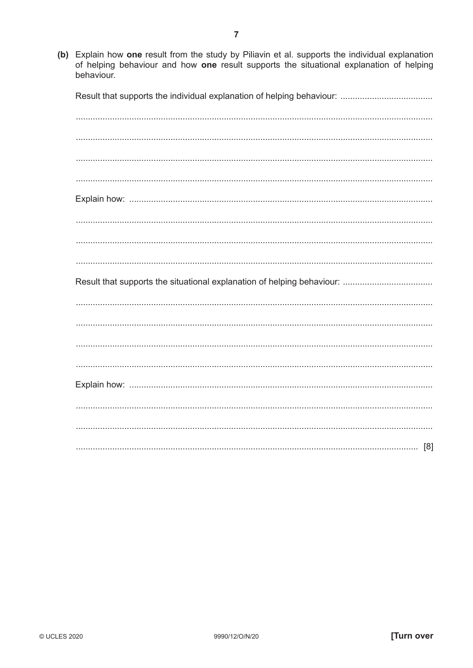(b) Explain how one result from the study by Piliavin et al. supports the individual explanation of helping behaviour and how one result supports the situational explanation of helping behaviour.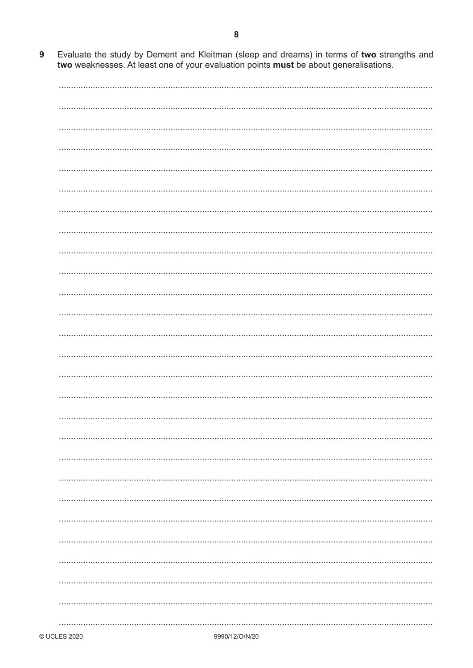Evaluate the study by Dement and Kleitman (sleep and dreams) in terms of two strengths and two weaknesses. At least one of your evaluation points must be about generalisations.  $9$ 

| <b>ES 2020</b> | 9990/12/Q/N/20 |
|----------------|----------------|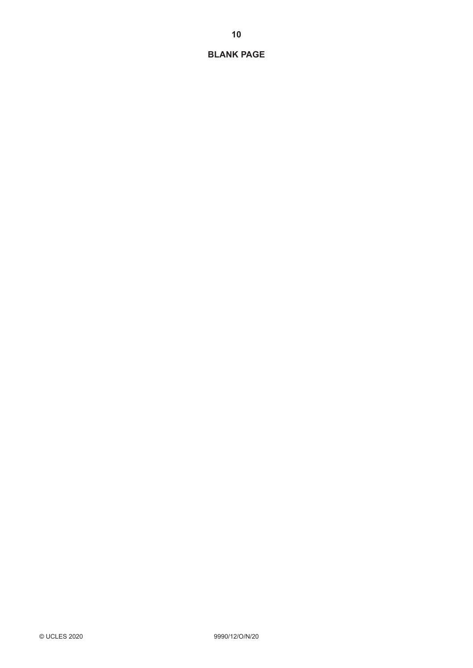## **BLANK PAGE**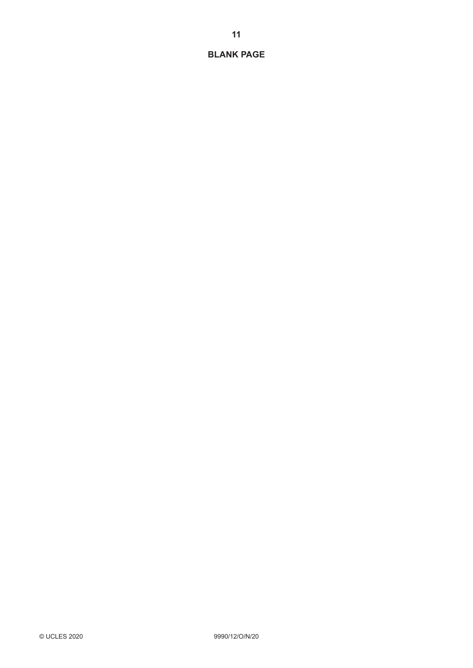## **BLANK PAGE**